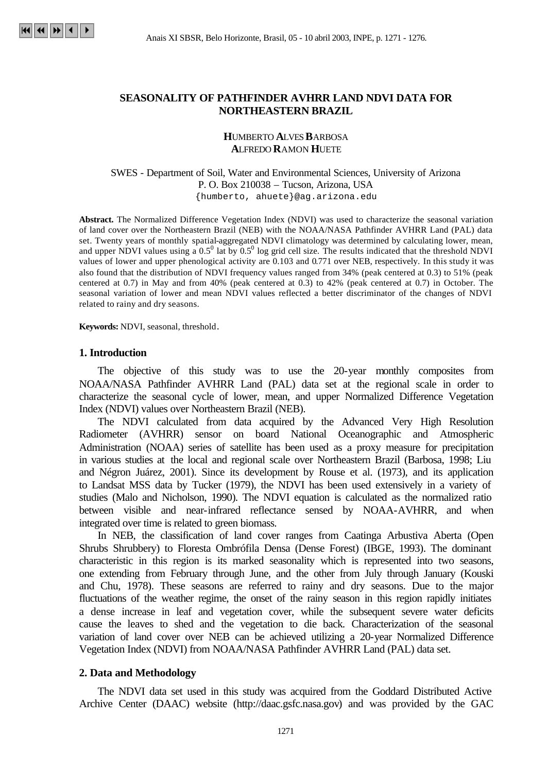## **SEASONALITY OF PATHFINDER AVHRR LAND NDVI DATA FOR NORTHEASTERN BRAZIL**

### **H**UMBERTO **A**LVES **B**ARBOSA **A**LFREDO **R**AMON **H**UETE

### SWES - Department of Soil, Water and Environmental Sciences, University of Arizona P. O. Box 210038 – Tucson, Arizona, USA {humberto, ahuete}@ag.arizona.edu

**Abstract.** The Normalized Difference Vegetation Index (NDVI) was used to characterize the seasonal variation of land cover over the Northeastern Brazil (NEB) with the NOAA/NASA Pathfinder AVHRR Land (PAL) data set. Twenty years of monthly spatial-aggregated NDVI climatology was determined by calculating lower, mean, and upper NDVI values using a  $0.5^0$  lat by  $0.5^0$  log grid cell size. The results indicated that the threshold NDVI values of lower and upper phenological activity are 0.103 and 0.771 over NEB, respectively. In this study it was also found that the distribution of NDVI frequency values ranged from 34% (peak centered at 0.3) to 51% (peak centered at 0.7) in May and from 40% (peak centered at 0.3) to 42% (peak centered at 0.7) in October. The seasonal variation of lower and mean NDVI values reflected a better discriminator of the changes of NDVI related to rainy and dry seasons.

**Keywords:** NDVI, seasonal, threshold.

### **1. Introduction**

The objective of this study was to use the 20-year monthly composites from NOAA/NASA Pathfinder AVHRR Land (PAL) data set at the regional scale in order to characterize the seasonal cycle of lower, mean, and upper Normalized Difference Vegetation Index (NDVI) values over Northeastern Brazil (NEB).

The NDVI calculated from data acquired by the Advanced Very High Resolution Radiometer (AVHRR) sensor on board National Oceanographic and Atmospheric Administration (NOAA) series of satellite has been used as a proxy measure for precipitation in various studies at the local and regional scale over Northeastern Brazil (Barbosa, 1998; Liu and Négron Juárez, 2001). Since its development by Rouse et al. (1973), and its application to Landsat MSS data by Tucker (1979), the NDVI has been used extensively in a variety of studies (Malo and Nicholson, 1990). The NDVI equation is calculated as the normalized ratio between visible and near-infrared reflectance sensed by NOAA-AVHRR, and when integrated over time is related to green biomass.

In NEB, the classification of land cover ranges from Caatinga Arbustiva Aberta (Open Shrubs Shrubbery) to Floresta Ombrófila Densa (Dense Forest) (IBGE, 1993). The dominant characteristic in this region is its marked seasonality which is represented into two seasons, one extending from February through June, and the other from July through January (Kouski and Chu, 1978). These seasons are referred to rainy and dry seasons. Due to the major fluctuations of the weather regime, the onset of the rainy season in this region rapidly initiates a dense increase in leaf and vegetation cover, while the subsequent severe water deficits cause the leaves to shed and the vegetation to die back*.* Characterization of the seasonal variation of land cover over NEB can be achieved utilizing a 20-year Normalized Difference Vegetation Index (NDVI) from NOAA/NASA Pathfinder AVHRR Land (PAL) data set.

### **2. Data and Methodology**

The NDVI data set used in this study was acquired from the Goddard Distributed Active Archive Center (DAAC) website (http://daac.gsfc.nasa.gov) and was provided by the GAC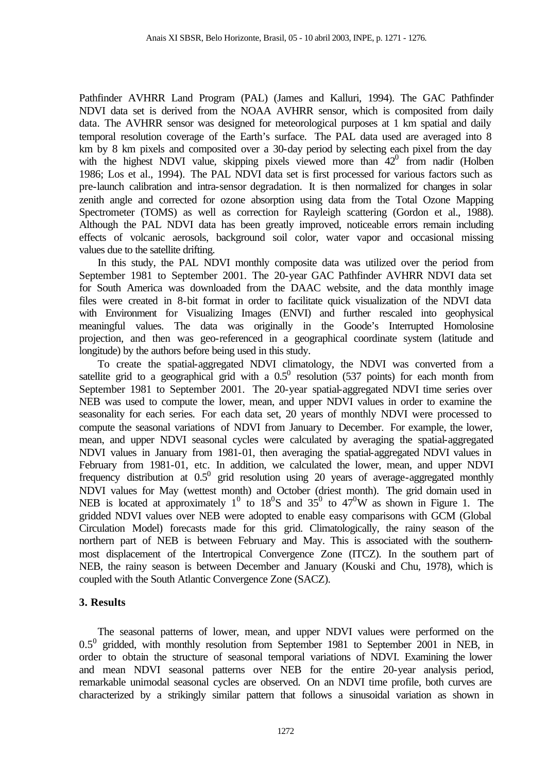Pathfinder AVHRR Land Program (PAL) (James and Kalluri, 1994). The GAC Pathfinder NDVI data set is derived from the NOAA AVHRR sensor, which is composited from daily data. The AVHRR sensor was designed for meteorological purposes at 1 km spatial and daily temporal resolution coverage of the Earth's surface. The PAL data used are averaged into 8 km by 8 km pixels and composited over a 30-day period by selecting each pixel from the day with the highest NDVI value, skipping pixels viewed more than  $42^0$  from nadir (Holben 1986; Los et al., 1994). The PAL NDVI data set is first processed for various factors such as pre-launch calibration and intra-sensor degradation. It is then normalized for changes in solar zenith angle and corrected for ozone absorption using data from the Total Ozone Mapping Spectrometer (TOMS) as well as correction for Rayleigh scattering (Gordon et al., 1988). Although the PAL NDVI data has been greatly improved, noticeable errors remain including effects of volcanic aerosols, background soil color, water vapor and occasional missing values due to the satellite drifting.

In this study, the PAL NDVI monthly composite data was utilized over the period from September 1981 to September 2001. The 20-year GAC Pathfinder AVHRR NDVI data set for South America was downloaded from the DAAC website, and the data monthly image files were created in 8-bit format in order to facilitate quick visualization of the NDVI data with Environment for Visualizing Images (ENVI) and further rescaled into geophysical meaningful values. The data was originally in the Goode's Interrupted Homolosine projection, and then was geo-referenced in a geographical coordinate system (latitude and longitude) by the authors before being used in this study.

To create the spatial-aggregated NDVI climatology, the NDVI was converted from a satellite grid to a geographical grid with a  $0.5<sup>0</sup>$  resolution (537 points) for each month from September 1981 to September 2001. The 20-year spatial-aggregated NDVI time series over NEB was used to compute the lower, mean, and upper NDVI values in order to examine the seasonality for each series. For each data set, 20 years of monthly NDVI were processed to compute the seasonal variations of NDVI from January to December. For example, the lower, mean, and upper NDVI seasonal cycles were calculated by averaging the spatial-aggregated NDVI values in January from 1981-01, then averaging the spatial-aggregated NDVI values in February from 1981-01, etc. In addition, we calculated the lower, mean, and upper NDVI frequency distribution at  $0.5^0$  grid resolution using 20 years of average-aggregated monthly NDVI values for May (wettest month) and October (driest month). The grid domain used in NEB is located at approximately  $1^0$  to  $18^0$ S and  $35^0$  to  $47^0$ W as shown in Figure 1. The gridded NDVI values over NEB were adopted to enable easy comparisons with GCM (Global Circulation Model) forecasts made for this grid. Climatologically, the rainy season of the northern part of NEB is between February and May. This is associated with the southernmost displacement of the Intertropical Convergence Zone (ITCZ). In the southern part of NEB, the rainy season is between December and January (Kouski and Chu, 1978), which is coupled with the South Atlantic Convergence Zone (SACZ).

# **3. Results**

The seasonal patterns of lower, mean, and upper NDVI values were performed on the  $0.5^0$  gridded, with monthly resolution from September 1981 to September 2001 in NEB, in order to obtain the structure of seasonal temporal variations of NDVI. Examining the lower and mean NDVI seasonal patterns over NEB for the entire 20-year analysis period, remarkable unimodal seasonal cycles are observed. On an NDVI time profile, both curves are characterized by a strikingly similar pattern that follows a sinusoidal variation as shown in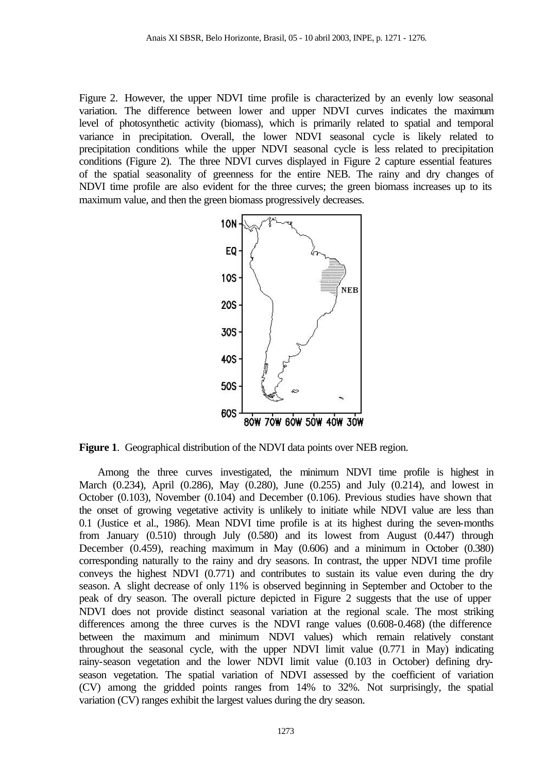Figure 2. However, the upper NDVI time profile is characterized by an evenly low seasonal variation. The difference between lower and upper NDVI curves indicates the maximum level of photosynthetic activity (biomass), which is primarily related to spatial and temporal variance in precipitation. Overall, the lower NDVI seasonal cycle is likely related to precipitation conditions while the upper NDVI seasonal cycle is less related to precipitation conditions (Figure 2). The three NDVI curves displayed in Figure 2 capture essential features of the spatial seasonality of greenness for the entire NEB. The rainy and dry changes of NDVI time profile are also evident for the three curves; the green biomass increases up to its maximum value, and then the green biomass progressively decreases.



**Figure 1**. Geographical distribution of the NDVI data points over NEB region.

Among the three curves investigated, the minimum NDVI time profile is highest in March (0.234), April (0.286), May (0.280), June (0.255) and July (0.214), and lowest in October (0.103), November (0.104) and December (0.106). Previous studies have shown that the onset of growing vegetative activity is unlikely to initiate while NDVI value are less than 0.1 (Justice et al., 1986). Mean NDVI time profile is at its highest during the seven-months from January (0.510) through July (0.580) and its lowest from August (0.447) through December (0.459), reaching maximum in May (0.606) and a minimum in October (0.380) corresponding naturally to the rainy and dry seasons. In contrast, the upper NDVI time profile conveys the highest NDVI (0.771) and contributes to sustain its value even during the dry season. A slight decrease of only 11% is observed beginning in September and October to the peak of dry season. The overall picture depicted in Figure 2 suggests that the use of upper NDVI does not provide distinct seasonal variation at the regional scale. The most striking differences among the three curves is the NDVI range values (0.608-0.468) (the difference between the maximum and minimum NDVI values) which remain relatively constant throughout the seasonal cycle, with the upper NDVI limit value (0.771 in May) indicating rainy-season vegetation and the lower NDVI limit value (0.103 in October) defining dryseason vegetation. The spatial variation of NDVI assessed by the coefficient of variation (CV) among the gridded points ranges from 14% to 32%. Not surprisingly, the spatial variation (CV) ranges exhibit the largest values during the dry season.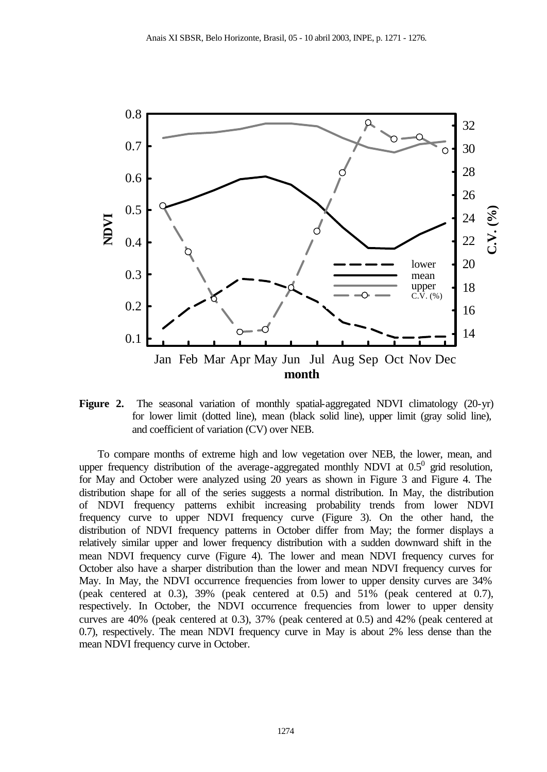

**Figure 2.** The seasonal variation of monthly spatial-aggregated NDVI climatology (20-yr) for lower limit (dotted line), mean (black solid line), upper limit (gray solid line), and coefficient of variation (CV) over NEB.

To compare months of extreme high and low vegetation over NEB, the lower, mean, and upper frequency distribution of the average-aggregated monthly NDVI at  $0.5^0$  grid resolution, for May and October were analyzed using 20 years as shown in Figure 3 and Figure 4. The distribution shape for all of the series suggests a normal distribution. In May, the distribution of NDVI frequency patterns exhibit increasing probability trends from lower NDVI frequency curve to upper NDVI frequency curve (Figure 3). On the other hand, the distribution of NDVI frequency patterns in October differ from May; the former displays a relatively similar upper and lower frequency distribution with a sudden downward shift in the mean NDVI frequency curve (Figure 4). The lower and mean NDVI frequency curves for October also have a sharper distribution than the lower and mean NDVI frequency curves for May. In May, the NDVI occurrence frequencies from lower to upper density curves are 34% (peak centered at 0.3), 39% (peak centered at 0.5) and 51% (peak centered at 0.7), respectively. In October, the NDVI occurrence frequencies from lower to upper density curves are 40% (peak centered at 0.3), 37% (peak centered at 0.5) and 42% (peak centered at 0.7), respectively. The mean NDVI frequency curve in May is about 2% less dense than the mean NDVI frequency curve in October.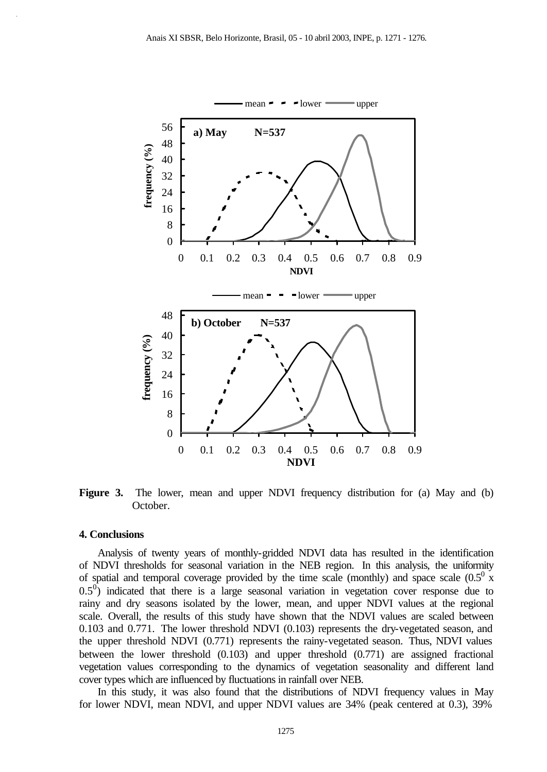

**Figure 3.** The lower, mean and upper NDVI frequency distribution for (a) May and (b) October.

#### **4. Conclusions**

Analysis of twenty years of monthly-gridded NDVI data has resulted in the identification of NDVI thresholds for seasonal variation in the NEB region. In this analysis, the uniformity of spatial and temporal coverage provided by the time scale (monthly) and space scale  $(0.5^0 \text{ x})$  $0.5^0$ ) indicated that there is a large seasonal variation in vegetation cover response due to rainy and dry seasons isolated by the lower, mean, and upper NDVI values at the regional scale. Overall, the results of this study have shown that the NDVI values are scaled between 0.103 and 0.771. The lower threshold NDVI (0.103) represents the dry-vegetated season, and the upper threshold NDVI (0.771) represents the rainy-vegetated season. Thus, NDVI values between the lower threshold (0.103) and upper threshold (0.771) are assigned fractional vegetation values corresponding to the dynamics of vegetation seasonality and different land cover types which are influenced by fluctuations in rainfall over NEB.

In this study, it was also found that the distributions of NDVI frequency values in May for lower NDVI, mean NDVI, and upper NDVI values are 34% (peak centered at 0.3), 39%